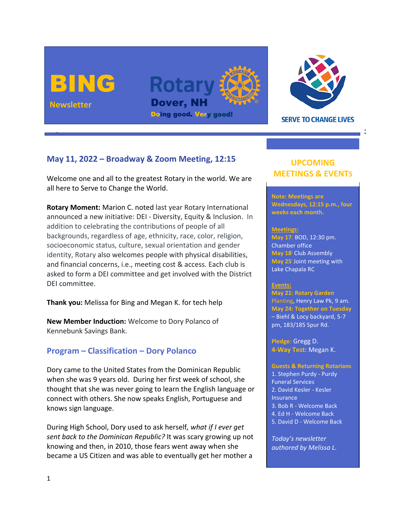



**SERVE TO CHANGE LIVES** 

# **May 11, 2022 – Broadway & Zoom Meeting, 12:15**

Welcome one and all to the greatest Rotary in the world. We are all here to Serve to Change the World.

**Rotary Moment:** Marion C. noted last year Rotary International announced a new initiative: DEI - Diversity, Equity & Inclusion. In addition to celebrating the contributions of people of all backgrounds, regardless of age, ethnicity, race, color, religion, socioeconomic status, culture, sexual orientation and gender identity, Rotary also welcomes people with physical disabilities, and financial concerns, i.e., meeting cost & access. Each club is asked to form a DEI committee and get involved with the District DEI committee.

**Thank you:** Melissa for Bing and Megan K. for tech help

**New Member Induction:** Welcome to Dory Polanco of Kennebunk Savings Bank.

## **Program – Classification – Dory Polanco**

Dory came to the United States from the Dominican Republic when she was 9 years old. During her first week of school, she thought that she was never going to learn the English language or connect with others. She now speaks English, Portuguese and knows sign language.

During High School, Dory used to ask herself*, what if I ever get sent back to the Dominican Republic?* It was scary growing up not knowing and then, in 2010, those fears went away when she became a US Citizen and was able to eventually get her mother a

# **UPCOMING MEETINGS & EVENTS**

**Note: Meetings are Wednesdays, 12:15 p.m., four weeks each month.** 

#### **Meetings:**

**May 17**: BOD, 12:30 pm. Chamber office **May 18:** Club Assembly **May 25:** Joint meeting with Lake Chapala RC

### **Events:**

**May 21: Rotary Garden** Planting, Henry Law Pk, 9 am. **May 24: Together on Tuesday**  – Biehl & Locy backyard, 5-7 pm, 183/185 Spur Rd.

**Pledge**: Gregg D. **4-Way Test**: Megan K.

#### **Guests & Returning Rotarians**

1. Stephen Purdy - Purdy Funeral Services 2. David Kesler - Kesler **Insurance** 3. Bob R - Welcome Back 4. Ed H - Welcome Back 5. David D - Welcome Back

*Today's newsletter authored by Melissa L.*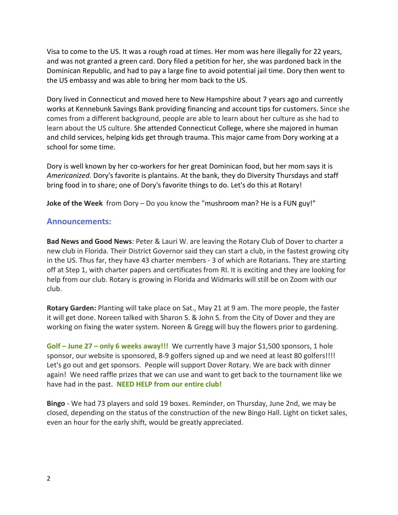Visa to come to the US. It was a rough road at times. Her mom was here illegally for 22 years, and was not granted a green card. Dory filed a petition for her, she was pardoned back in the Dominican Republic, and had to pay a large fine to avoid potential jail time. Dory then went to the US embassy and was able to bring her mom back to the US.

Dory lived in Connecticut and moved here to New Hampshire about 7 years ago and currently works at Kennebunk Savings Bank providing financing and account tips for customers. Since she comes from a different background, people are able to learn about her culture as she had to learn about the US culture. She attended Connecticut College, where she majored in human and child services, helping kids get through trauma. This major came from Dory working at a school for some time.

Dory is well known by her co-workers for her great Dominican food, but her mom says it is *Americanized*. Dory's favorite is plantains. At the bank, they do Diversity Thursdays and staff bring food in to share; one of Dory's favorite things to do. Let's do this at Rotary!

**Joke of the Week** from Dory – Do you know the "mushroom man? He is a FUN guy!"

## **Announcements:**

**Bad News and Good News**: Peter & Lauri W. are leaving the Rotary Club of Dover to charter a new club in Florida. Their District Governor said they can start a club, in the fastest growing city in the US. Thus far, they have 43 charter members - 3 of which are Rotarians. They are starting off at Step 1, with charter papers and certificates from RI. It is exciting and they are looking for help from our club. Rotary is growing in Florida and Widmarks will still be on Zoom with our club.

**Rotary Garden:** Planting will take place on Sat., May 21 at 9 am. The more people, the faster it will get done. Noreen talked with Sharon S. & John S. from the City of Dover and they are working on fixing the water system. Noreen & Gregg will buy the flowers prior to gardening.

**Golf – June 27 – only 6 weeks away!!!** We currently have 3 major \$1,500 sponsors, 1 hole sponsor, our website is sponsored, 8-9 golfers signed up and we need at least 80 golfers!!!! Let's go out and get sponsors. People will support Dover Rotary. We are back with dinner again! We need raffle prizes that we can use and want to get back to the tournament like we have had in the past**. NEED HELP from our entire club!**

**Bingo** - We had 73 players and sold 19 boxes. Reminder, on Thursday, June 2nd, we may be closed, depending on the status of the construction of the new Bingo Hall. Light on ticket sales, even an hour for the early shift, would be greatly appreciated.